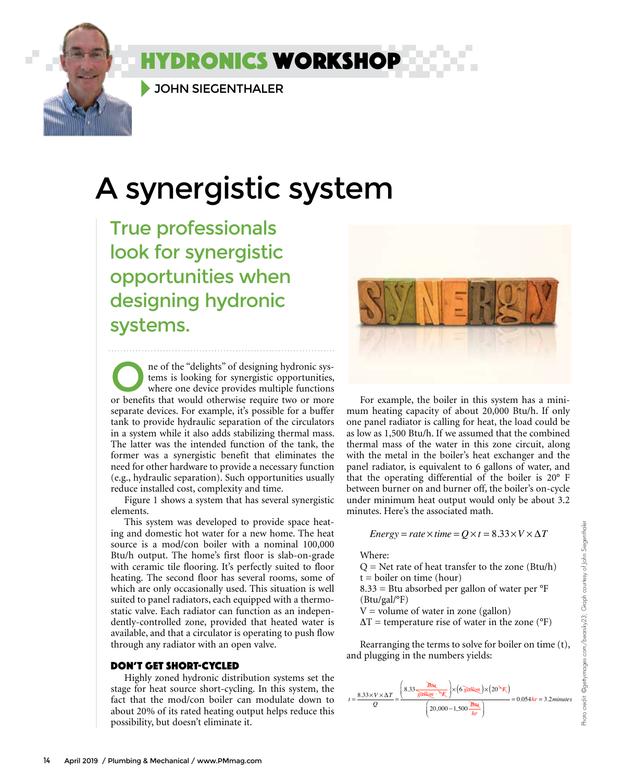JOHN SIEGENTHALER

# A synergistic system

**YDRONICS WORKSHOP** 

True professionals look for synergistic opportunities when designing hydronic systems.

The of the "delights" of designing hydronic sys-<br>tems is looking for synergistic opportunities,<br>where one device provides multiple functions<br>or henefits that would otherwise require two or more tems is looking for synergistic opportunities, or benefits that would otherwise require two or more separate devices. For example, it's possible for a buffer tank to provide hydraulic separation of the circulators in a system while it also adds stabilizing thermal mass. The latter was the intended function of the tank, the former was a synergistic benefit that eliminates the need for other hardware to provide a necessary function (e.g., hydraulic separation). Such opportunities usually reduce installed cost, complexity and time.

Figure 1 shows a system that has several synergistic elements.

This system was developed to provide space heating and domestic hot water for a new home. The heat source is a mod/con boiler with a nominal 100,000 Btu/h output. The home's first floor is slab-on-grade with ceramic tile flooring. It's perfectly suited to floor heating. The second floor has several rooms, some of which are only occasionally used. This situation is well suited to panel radiators, each equipped with a thermostatic valve. Each radiator can function as an independently-controlled zone, provided that heated water is available, and that a circulator is operating to push flow through any radiator with an open valve.

### DON'T GET SHORT-CYCLED

Highly zoned hydronic distribution systems set the stage for heat source short-cycling. In this system, the fact that the mod/con boiler can modulate down to about 20% of its rated heating output helps reduce this possibility, but doesn't eliminate it.



For example, the boiler in this system has a mini-For example, the boiler in this system has a minimum heating capacity of about 20,000 Btu/h. If only one panel radiator is calling for heat, the load could be as low as 1,500 Btu/h. If we assumed that the combined thermal mass of the water in this zone circuit, along with the metal in the boiler's heat exchanger and the panel radiator, is equivalent to 6 gallons of water, and that the operating differential of the boiler is 20° F between burner on and burner off, the boiler's on-cycle under minimum heat output would only be about 3.2 minutes. Here's the associated math.

Energy = rate × time = 
$$
Q \times t = 8.33 \times V \times \Delta T
$$

 $W$ *here:* 

Q = Net rate of heat transfer to the zone (Btu/h)  $t = \text{boiler on time (hour)}$  $8.33$  = Btu absorbed per gallon of water per  $\mathrm{^oF}$  $(Btu/gal$ <sup>o</sup>F)  $V =$  volume of water in zone (gallon)  $\Delta T$  = temperature rise of water in the zone (°F)  $\frac{N}{2}$ 

Rearranging the terms to solve for boiler on time (t), and plugging in the numbers yields:

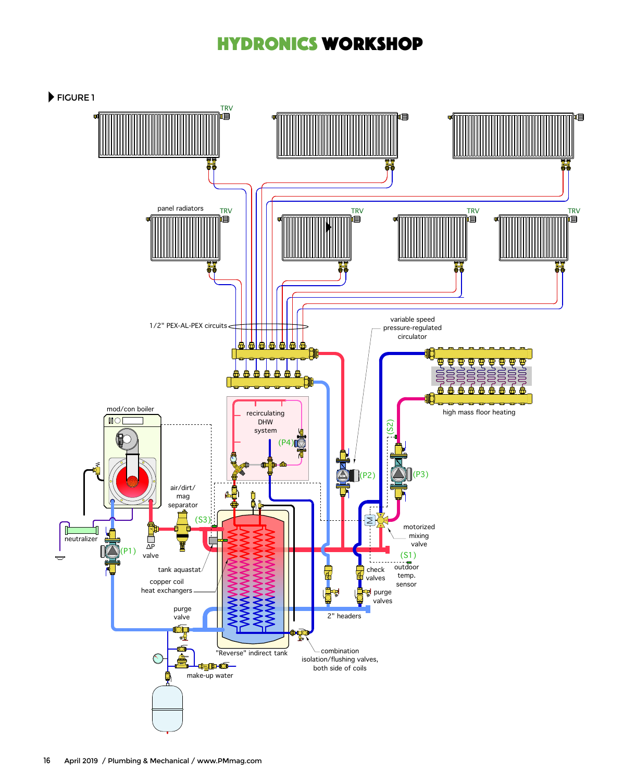# hydronics workshop

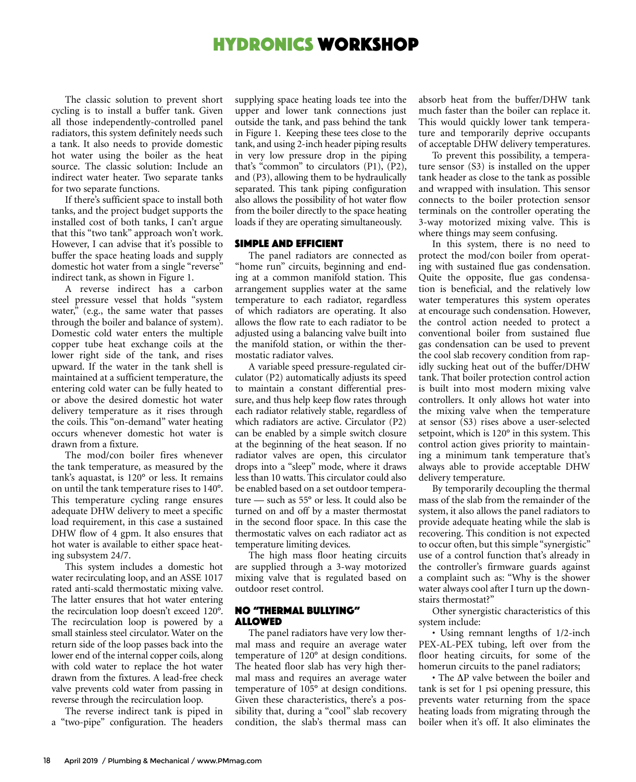## hydronics workshop

The classic solution to prevent short cycling is to install a buffer tank. Given all those independently-controlled panel radiators, this system definitely needs such a tank. It also needs to provide domestic hot water using the boiler as the heat source. The classic solution: Include an indirect water heater. Two separate tanks for two separate functions.

If there's sufficient space to install both tanks, and the project budget supports the installed cost of both tanks, I can't argue that this "two tank" approach won't work. However, I can advise that it's possible to buffer the space heating loads and supply domestic hot water from a single "reverse" indirect tank, as shown in Figure 1.

A reverse indirect has a carbon steel pressure vessel that holds "system water," (e.g., the same water that passes through the boiler and balance of system). Domestic cold water enters the multiple copper tube heat exchange coils at the lower right side of the tank, and rises upward. If the water in the tank shell is maintained at a sufficient temperature, the entering cold water can be fully heated to or above the desired domestic hot water delivery temperature as it rises through the coils. This "on-demand" water heating occurs whenever domestic hot water is drawn from a fixture.

The mod/con boiler fires whenever the tank temperature, as measured by the tank's aquastat, is 120° or less. It remains on until the tank temperature rises to 140°. This temperature cycling range ensures adequate DHW delivery to meet a specific load requirement, in this case a sustained DHW flow of 4 gpm. It also ensures that hot water is available to either space heating subsystem 24/7.

This system includes a domestic hot water recirculating loop, and an ASSE 1017 rated anti-scald thermostatic mixing valve. The latter ensures that hot water entering the recirculation loop doesn't exceed 120°. The recirculation loop is powered by a small stainless steel circulator. Water on the return side of the loop passes back into the lower end of the internal copper coils, along with cold water to replace the hot water drawn from the fixtures. A lead-free check valve prevents cold water from passing in reverse through the recirculation loop.

The reverse indirect tank is piped in a "two-pipe" configuration. The headers supplying space heating loads tee into the upper and lower tank connections just outside the tank, and pass behind the tank in Figure 1. Keeping these tees close to the tank, and using 2-inch header piping results in very low pressure drop in the piping that's "common" to circulators (P1), (P2), and (P3), allowing them to be hydraulically separated. This tank piping configuration also allows the possibility of hot water flow from the boiler directly to the space heating loads if they are operating simultaneously.

## SIMPLE AND EFFICIENT

The panel radiators are connected as "home run" circuits, beginning and ending at a common manifold station. This arrangement supplies water at the same temperature to each radiator, regardless of which radiators are operating. It also allows the flow rate to each radiator to be adjusted using a balancing valve built into the manifold station, or within the thermostatic radiator valves.

A variable speed pressure-regulated circulator (P2) automatically adjusts its speed to maintain a constant differential pressure, and thus help keep flow rates through each radiator relatively stable, regardless of which radiators are active. Circulator (P2) can be enabled by a simple switch closure at the beginning of the heat season. If no radiator valves are open, this circulator drops into a "sleep" mode, where it draws less than 10 watts. This circulator could also be enabled based on a set outdoor temperature — such as 55° or less. It could also be turned on and off by a master thermostat in the second floor space. In this case the thermostatic valves on each radiator act as temperature limiting devices.

The high mass floor heating circuits are supplied through a 3-way motorized mixing valve that is regulated based on outdoor reset control.

#### NO "THERMAL BULLYING" ALLOWED

The panel radiators have very low thermal mass and require an average water temperature of 120° at design conditions. The heated floor slab has very high thermal mass and requires an average water temperature of 105° at design conditions. Given these characteristics, there's a possibility that, during a "cool" slab recovery condition, the slab's thermal mass can

absorb heat from the buffer/DHW tank much faster than the boiler can replace it. This would quickly lower tank temperature and temporarily deprive occupants of acceptable DHW delivery temperatures.

To prevent this possibility, a temperature sensor (S3) is installed on the upper tank header as close to the tank as possible and wrapped with insulation. This sensor connects to the boiler protection sensor terminals on the controller operating the 3-way motorized mixing valve. This is where things may seem confusing.

In this system, there is no need to protect the mod/con boiler from operating with sustained flue gas condensation. Quite the opposite, flue gas condensation is beneficial, and the relatively low water temperatures this system operates at encourage such condensation. However, the control action needed to protect a conventional boiler from sustained flue gas condensation can be used to prevent the cool slab recovery condition from rapidly sucking heat out of the buffer/DHW tank. That boiler protection control action is built into most modern mixing valve controllers. It only allows hot water into the mixing valve when the temperature at sensor (S3) rises above a user-selected setpoint, which is 120° in this system. This control action gives priority to maintaining a minimum tank temperature that's always able to provide acceptable DHW delivery temperature.

By temporarily decoupling the thermal mass of the slab from the remainder of the system, it also allows the panel radiators to provide adequate heating while the slab is recovering. This condition is not expected to occur often, but this simple "synergistic" use of a control function that's already in the controller's firmware guards against a complaint such as: "Why is the shower water always cool after I turn up the downstairs thermostat?"

Other synergistic characteristics of this system include:

• Using remnant lengths of 1/2-inch PEX-AL-PEX tubing, left over from the floor heating circuits, for some of the homerun circuits to the panel radiators;

• The ∆P valve between the boiler and tank is set for 1 psi opening pressure, this prevents water returning from the space heating loads from migrating through the boiler when it's off. It also eliminates the